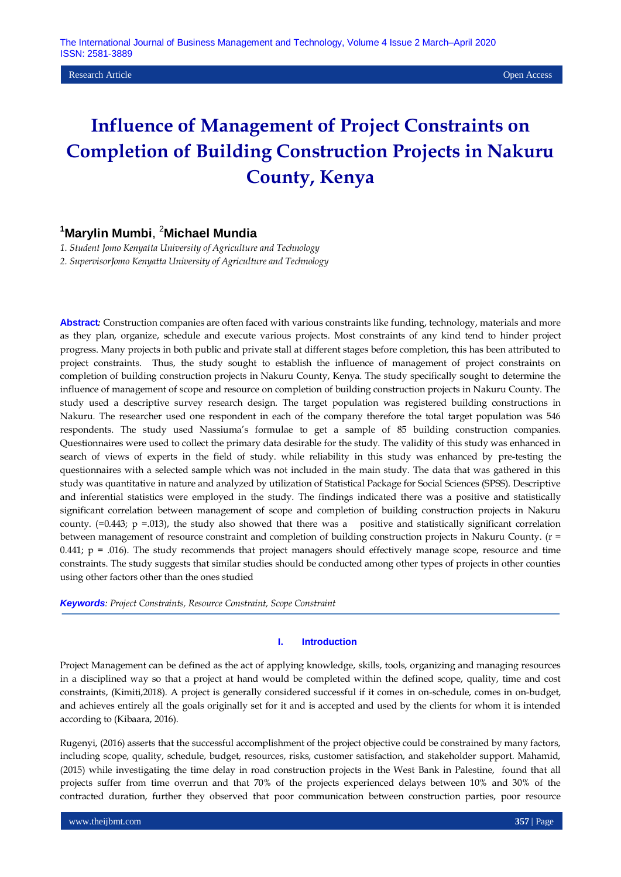# **Influence of Management of Project Constraints on Completion of Building Construction Projects in Nakuru County, Kenya**

# **<sup>1</sup>Marylin Mumbi**, <sup>2</sup>**Michael Mundia**

*1. Student Jomo Kenyatta University of Agriculture and Technology 2. SupervisorJomo Kenyatta University of Agriculture and Technology*

**Abstract***:* Construction companies are often faced with various constraints like funding, technology, materials and more as they plan, organize, schedule and execute various projects. Most constraints of any kind tend to hinder project progress. Many projects in both public and private stall at different stages before completion, this has been attributed to project constraints. Thus, the study sought to establish the influence of management of project constraints on completion of building construction projects in Nakuru County, Kenya. The study specifically sought to determine the influence of management of scope and resource on completion of building construction projects in Nakuru County. The study used a descriptive survey research design. The target population was registered building constructions in Nakuru. The researcher used one respondent in each of the company therefore the total target population was 546 respondents. The study used Nassiuma"s formulae to get a sample of 85 building construction companies. Questionnaires were used to collect the primary data desirable for the study. The validity of this study was enhanced in search of views of experts in the field of study. while reliability in this study was enhanced by pre-testing the questionnaires with a selected sample which was not included in the main study. The data that was gathered in this study was quantitative in nature and analyzed by utilization of Statistical Package for Social Sciences (SPSS). Descriptive and inferential statistics were employed in the study. The findings indicated there was a positive and statistically significant correlation between management of scope and completion of building construction projects in Nakuru county.  $(=0.443; p = .013)$ , the study also showed that there was a positive and statistically significant correlation between management of resource constraint and completion of building construction projects in Nakuru County. (r =  $0.441$ ;  $p = .016$ ). The study recommends that project managers should effectively manage scope, resource and time constraints. The study suggests that similar studies should be conducted among other types of projects in other counties using other factors other than the ones studied

*Keywords: Project Constraints, Resource Constraint, Scope Constraint*

#### **I. Introduction**

Project Management can be defined as the act of applying knowledge, skills, tools, organizing and managing resources in a disciplined way so that a project at hand would be completed within the defined scope, quality, time and cost constraints, (Kimiti,2018). A project is generally considered successful if it comes in on-schedule, comes in on-budget, and achieves entirely all the goals originally set for it and is accepted and used by the clients for whom it is intended according to (Kibaara, 2016).

Rugenyi, (2016) asserts that the successful accomplishment of the project objective could be constrained by many factors, including scope, quality, schedule, budget, resources, risks, customer satisfaction, and stakeholder support. Mahamid, (2015) while investigating the time delay in road construction projects in the West Bank in Palestine, found that all projects suffer from time overrun and that 70% of the projects experienced delays between 10% and 30% of the contracted duration, further they observed that poor communication between construction parties, poor resource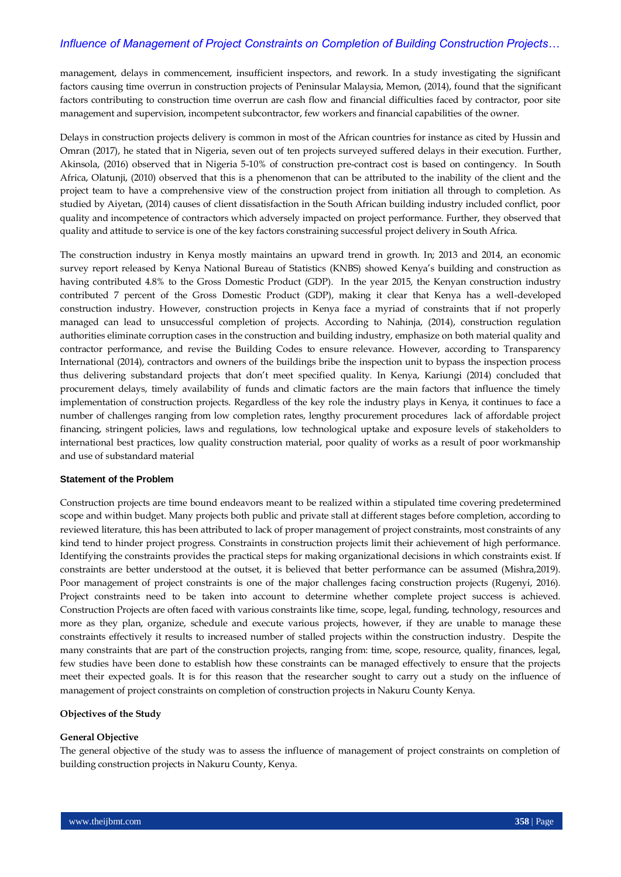management, delays in commencement, insufficient inspectors, and rework. In a study investigating the significant factors causing time overrun in construction projects of Peninsular Malaysia, Memon, (2014), found that the significant factors contributing to construction time overrun are cash flow and financial difficulties faced by contractor, poor site management and supervision, incompetent subcontractor, few workers and financial capabilities of the owner.

Delays in construction projects delivery is common in most of the African countries for instance as cited by Hussin and Omran (2017), he stated that in Nigeria, seven out of ten projects surveyed suffered delays in their execution. Further, Akinsola, (2016) observed that in Nigeria 5-10% of construction pre-contract cost is based on contingency. In South Africa, Olatunji, (2010) observed that this is a phenomenon that can be attributed to the inability of the client and the project team to have a comprehensive view of the construction project from initiation all through to completion. As studied by Aiyetan, (2014) causes of client dissatisfaction in the South African building industry included conflict, poor quality and incompetence of contractors which adversely impacted on project performance. Further, they observed that quality and attitude to service is one of the key factors constraining successful project delivery in South Africa.

The construction industry in Kenya mostly maintains an upward trend in growth. In; 2013 and 2014, an economic survey report released by Kenya National Bureau of Statistics (KNBS) showed Kenya"s building and construction as having contributed 4.8% to the Gross Domestic Product (GDP). In the year 2015, the Kenyan construction industry contributed 7 percent of the Gross Domestic Product (GDP), making it clear that Kenya has a well-developed construction industry. However, construction projects in Kenya face a myriad of constraints that if not properly managed can lead to unsuccessful completion of projects. According to Nahinja, (2014), construction regulation authorities eliminate corruption cases in the construction and building industry, emphasize on both material quality and contractor performance, and revise the Building Codes to ensure relevance. However, according to Transparency International (2014), contractors and owners of the buildings bribe the inspection unit to bypass the inspection process thus delivering substandard projects that don"t meet specified quality. In Kenya, Kariungi (2014) concluded that procurement delays, timely availability of funds and climatic factors are the main factors that influence the timely implementation of construction projects. Regardless of the key role the industry plays in Kenya, it continues to face a number of challenges ranging from low completion rates, lengthy procurement procedures lack of affordable project financing, stringent policies, laws and regulations, low technological uptake and exposure levels of stakeholders to international best practices, low quality construction material, poor quality of works as a result of poor workmanship and use of substandard material

#### **Statement of the Problem**

Construction projects are time bound endeavors meant to be realized within a stipulated time covering predetermined scope and within budget. Many projects both public and private stall at different stages before completion, according to reviewed literature, this has been attributed to lack of proper management of project constraints, most constraints of any kind tend to hinder project progress. Constraints in construction projects limit their achievement of high performance. Identifying the constraints provides the practical steps for making organizational decisions in which constraints exist. If constraints are better understood at the outset, it is believed that better performance can be assumed (Mishra,2019). Poor management of project constraints is one of the major challenges facing construction projects (Rugenyi, 2016). Project constraints need to be taken into account to determine whether complete project success is achieved. Construction Projects are often faced with various constraints like time, scope, legal, funding, technology, resources and more as they plan, organize, schedule and execute various projects, however, if they are unable to manage these constraints effectively it results to increased number of stalled projects within the construction industry. Despite the many constraints that are part of the construction projects, ranging from: time, scope, resource, quality, finances, legal, few studies have been done to establish how these constraints can be managed effectively to ensure that the projects meet their expected goals. It is for this reason that the researcher sought to carry out a study on the influence of management of project constraints on completion of construction projects in Nakuru County Kenya.

#### **Objectives of the Study**

#### **General Objective**

The general objective of the study was to assess the influence of management of project constraints on completion of building construction projects in Nakuru County, Kenya.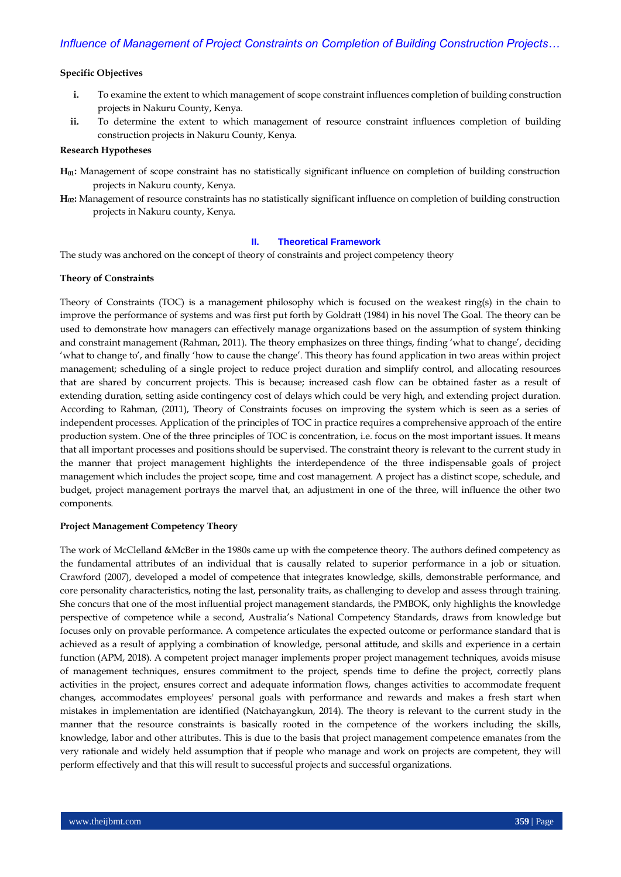#### **Specific Objectives**

- **i.** To examine the extent to which management of scope constraint influences completion of building construction projects in Nakuru County, Kenya.
- ii. To determine the extent to which management of resource constraint influences completion of building construction projects in Nakuru County, Kenya.

#### **Research Hypotheses**

- **H01:** Management of scope constraint has no statistically significant influence on completion of building construction projects in Nakuru county, Kenya.
- **H02:** Management of resource constraints has no statistically significant influence on completion of building construction projects in Nakuru county, Kenya.

#### **II. Theoretical Framework**

The study was anchored on the concept of theory of constraints and project competency theory

#### **Theory of Constraints**

Theory of Constraints (TOC) is a management philosophy which is focused on the weakest ring(s) in the chain to improve the performance of systems and was first put forth by Goldratt (1984) in his novel The Goal. The theory can be used to demonstrate how managers can effectively manage organizations based on the assumption of system thinking and constraint management (Rahman, 2011). The theory emphasizes on three things, finding "what to change", deciding "what to change to", and finally "how to cause the change". This theory has found application in two areas within project management; scheduling of a single project to reduce project duration and simplify control, and allocating resources that are shared by concurrent projects. This is because; increased cash flow can be obtained faster as a result of extending duration, setting aside contingency cost of delays which could be very high, and extending project duration. According to Rahman, (2011), Theory of Constraints focuses on improving the system which is seen as a series of independent processes. Application of the principles of TOC in practice requires a comprehensive approach of the entire production system. One of the three principles of TOC is concentration, i.e. focus on the most important issues. It means that all important processes and positions should be supervised. The constraint theory is relevant to the current study in the manner that project management highlights the interdependence of the three indispensable goals of project management which includes the project scope, time and cost management. A project has a distinct scope, schedule, and budget, project management portrays the marvel that, an adjustment in one of the three, will influence the other two components.

#### **Project Management Competency Theory**

The work of McClelland &McBer in the 1980s came up with the competence theory. The authors defined competency as the fundamental attributes of an individual that is causally related to superior performance in a job or situation. Crawford (2007), developed a model of competence that integrates knowledge, skills, demonstrable performance, and core personality characteristics, noting the last, personality traits, as challenging to develop and assess through training. She concurs that one of the most influential project management standards, the PMBOK, only highlights the knowledge perspective of competence while a second, Australia"s National Competency Standards, draws from knowledge but focuses only on provable performance. A competence articulates the expected outcome or performance standard that is achieved as a result of applying a combination of knowledge, personal attitude, and skills and experience in a certain function (APM, 2018). A competent project manager implements proper project management techniques, avoids misuse of management techniques, ensures commitment to the project, spends time to define the project, correctly plans activities in the project, ensures correct and adequate information flows, changes activities to accommodate frequent changes, accommodates employees' personal goals with performance and rewards and makes a fresh start when mistakes in implementation are identified (Natchayangkun, 2014). The theory is relevant to the current study in the manner that the resource constraints is basically rooted in the competence of the workers including the skills, knowledge, labor and other attributes. This is due to the basis that project management competence emanates from the very rationale and widely held assumption that if people who manage and work on projects are competent, they will perform effectively and that this will result to successful projects and successful organizations.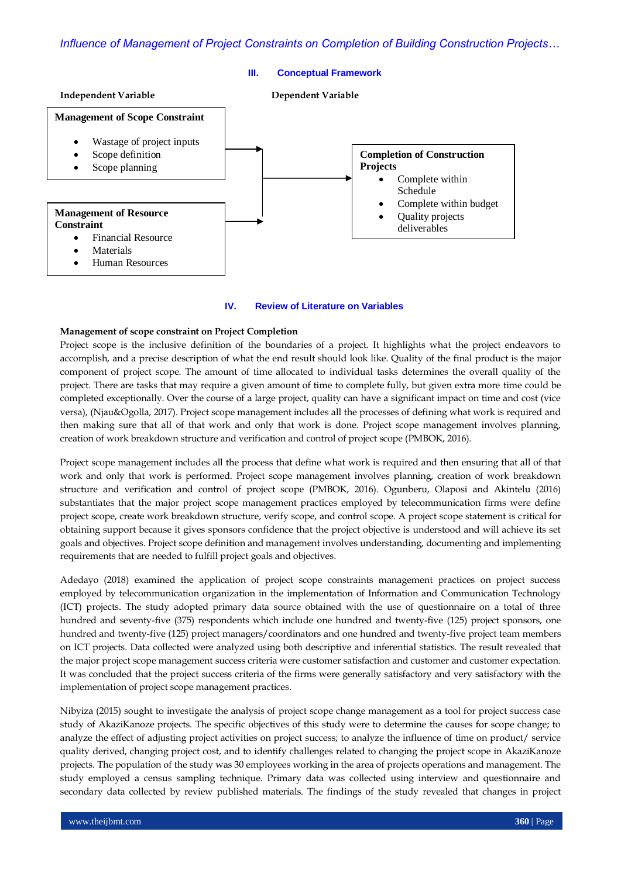

#### **IV. Review of Literature on Variables**

#### **Management of scope constraint on Project Completion**

Project scope is the inclusive definition of the boundaries of a project. It highlights what the project endeavors to accomplish, and a precise description of what the end result should look like. Quality of the final product is the major component of project scope. The amount of time allocated to individual tasks determines the overall quality of the project. There are tasks that may require a given amount of time to complete fully, but given extra more time could be completed exceptionally. Over the course of a large project, quality can have a significant impact on time and cost (vice versa), (Njau&Ogolla, 2017). Project scope management includes all the processes of defining what work is required and then making sure that all of that work and only that work is done. Project scope management involves planning, creation of work breakdown structure and verification and control of project scope (PMBOK, 2016).

Project scope management includes all the process that define what work is required and then ensuring that all of that work and only that work is performed. Project scope management involves planning, creation of work breakdown structure and verification and control of project scope (PMBOK, 2016). Ogunberu, Olaposi and Akintelu (2016) substantiates that the major project scope management practices employed by telecommunication firms were define project scope, create work breakdown structure, verify scope, and control scope. A project scope statement is critical for obtaining support because it gives sponsors confidence that the project objective is understood and will achieve its set goals and objectives. Project scope definition and management involves understanding, documenting and implementing requirements that are needed to fulfill project goals and objectives.

Adedayo (2018) examined the application of project scope constraints management practices on project success employed by telecommunication organization in the implementation of Information and Communication Technology (ICT) projects. The study adopted primary data source obtained with the use of questionnaire on a total of three hundred and seventy-five (375) respondents which include one hundred and twenty-five (125) project sponsors, one hundred and twenty-five (125) project managers/coordinators and one hundred and twenty-five project team members on ICT projects. Data collected were analyzed using both descriptive and inferential statistics. The result revealed that the major project scope management success criteria were customer satisfaction and customer and customer expectation. It was concluded that the project success criteria of the firms were generally satisfactory and very satisfactory with the implementation of project scope management practices.

Nibyiza (2015) sought to investigate the analysis of project scope change management as a tool for project success case study of AkaziKanoze projects. The specific objectives of this study were to determine the causes for scope change; to analyze the effect of adjusting project activities on project success; to analyze the influence of time on product/ service quality derived, changing project cost, and to identify challenges related to changing the project scope in AkaziKanoze projects. The population of the study was 30 employees working in the area of projects operations and management. The study employed a census sampling technique. Primary data was collected using interview and questionnaire and secondary data collected by review published materials. The findings of the study revealed that changes in project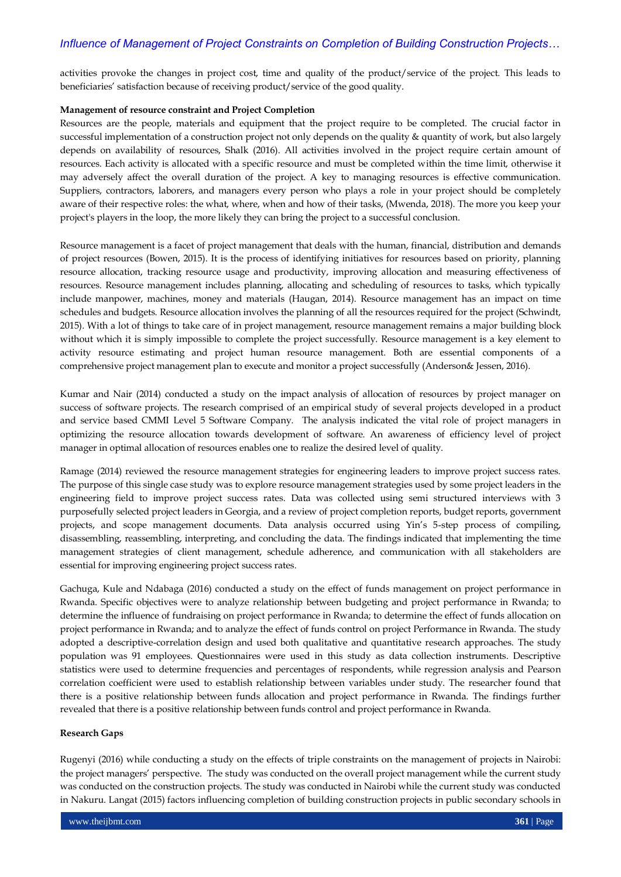activities provoke the changes in project cost, time and quality of the product/service of the project. This leads to beneficiaries" satisfaction because of receiving product/service of the good quality.

#### **Management of resource constraint and Project Completion**

Resources are the people, materials and equipment that the project require to be completed. The crucial factor in successful implementation of a construction project not only depends on the quality & quantity of work, but also largely depends on availability of resources, Shalk (2016). All activities involved in the project require certain amount of resources. Each activity is allocated with a specific resource and must be completed within the time limit, otherwise it may adversely affect the overall duration of the project. A key to managing resources is effective communication. Suppliers, contractors, laborers, and managers every person who plays a role in your project should be completely aware of their respective roles: the what, where, when and how of their tasks, (Mwenda, 2018). The more you keep your project's players in the loop, the more likely they can bring the project to a successful conclusion.

Resource management is a facet of project management that deals with the human, financial, distribution and demands of project resources (Bowen, 2015). It is the process of identifying initiatives for resources based on priority, planning resource allocation, tracking resource usage and productivity, improving allocation and measuring effectiveness of resources. Resource management includes planning, allocating and scheduling of resources to tasks, which typically include manpower, machines, money and materials (Haugan, 2014). Resource management has an impact on time schedules and budgets. Resource allocation involves the planning of all the resources required for the project (Schwindt, 2015). With a lot of things to take care of in project management, resource management remains a major building block without which it is simply impossible to complete the project successfully. Resource management is a key element to activity resource estimating and project human resource management. Both are essential components of a comprehensive project management plan to execute and monitor a project successfully (Anderson& Jessen, 2016).

Kumar and Nair (2014) conducted a study on the impact analysis of allocation of resources by project manager on success of software projects. The research comprised of an empirical study of several projects developed in a product and service based CMMI Level 5 Software Company. The analysis indicated the vital role of project managers in optimizing the resource allocation towards development of software. An awareness of efficiency level of project manager in optimal allocation of resources enables one to realize the desired level of quality.

Ramage (2014) reviewed the resource management strategies for engineering leaders to improve project success rates. The purpose of this single case study was to explore resource management strategies used by some project leaders in the engineering field to improve project success rates. Data was collected using semi structured interviews with 3 purposefully selected project leaders in Georgia, and a review of project completion reports, budget reports, government projects, and scope management documents. Data analysis occurred using Yin"s 5-step process of compiling, disassembling, reassembling, interpreting, and concluding the data. The findings indicated that implementing the time management strategies of client management, schedule adherence, and communication with all stakeholders are essential for improving engineering project success rates.

Gachuga, Kule and Ndabaga (2016) conducted a study on the effect of funds management on project performance in Rwanda. Specific objectives were to analyze relationship between budgeting and project performance in Rwanda; to determine the influence of fundraising on project performance in Rwanda; to determine the effect of funds allocation on project performance in Rwanda; and to analyze the effect of funds control on project Performance in Rwanda. The study adopted a descriptive-correlation design and used both qualitative and quantitative research approaches. The study population was 91 employees. Questionnaires were used in this study as data collection instruments. Descriptive statistics were used to determine frequencies and percentages of respondents, while regression analysis and Pearson correlation coefficient were used to establish relationship between variables under study. The researcher found that there is a positive relationship between funds allocation and project performance in Rwanda. The findings further revealed that there is a positive relationship between funds control and project performance in Rwanda.

#### **Research Gaps**

Rugenyi (2016) while conducting a study on the effects of triple constraints on the management of projects in Nairobi: the project managers" perspective. The study was conducted on the overall project management while the current study was conducted on the construction projects. The study was conducted in Nairobi while the current study was conducted in Nakuru. Langat (2015) factors influencing completion of building construction projects in public secondary schools in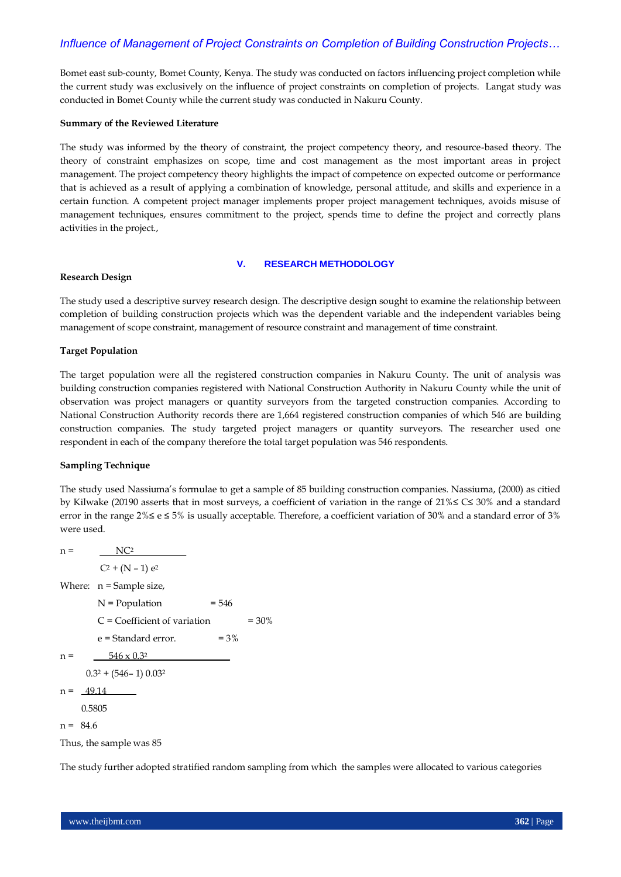Bomet east sub-county, Bomet County, Kenya. The study was conducted on factors influencing project completion while the current study was exclusively on the influence of project constraints on completion of projects. Langat study was conducted in Bomet County while the current study was conducted in Nakuru County.

#### **Summary of the Reviewed Literature**

The study was informed by the theory of constraint, the project competency theory, and resource-based theory. The theory of constraint emphasizes on scope, time and cost management as the most important areas in project management. The project competency theory highlights the impact of competence on expected outcome or performance that is achieved as a result of applying a combination of knowledge, personal attitude, and skills and experience in a certain function. A competent project manager implements proper project management techniques, avoids misuse of management techniques, ensures commitment to the project, spends time to define the project and correctly plans activities in the project.,

#### **V. RESEARCH METHODOLOGY**

#### **Research Design**

The study used a descriptive survey research design. The descriptive design sought to examine the relationship between completion of building construction projects which was the dependent variable and the independent variables being management of scope constraint, management of resource constraint and management of time constraint.

# **Target Population**

The target population were all the registered construction companies in Nakuru County. The unit of analysis was building construction companies registered with National Construction Authority in Nakuru County while the unit of observation was project managers or quantity surveyors from the targeted construction companies. According to National Construction Authority records there are 1,664 registered construction companies of which 546 are building construction companies. The study targeted project managers or quantity surveyors. The researcher used one respondent in each of the company therefore the total target population was 546 respondents.

#### **Sampling Technique**

The study used Nassiuma"s formulae to get a sample of 85 building construction companies. Nassiuma, (2000) as citied by Kilwake (20190 asserts that in most surveys, a coefficient of variation in the range of 21%≤ C≤ 30% and a standard error in the range  $2\% \leq e \leq 5\%$  is usually acceptable. Therefore, a coefficient variation of 30% and a standard error of 3% were used.

 $n = N<sup>2</sup>$  $C^2 + (N - 1) e^2$ Where:  $n =$  Sample size,  $N = Population = 546$  $C = Coefficient of variation =  $30\%$$  $e =$ Standard error.  $= 3\%$  $n = 546 \times 0.32$  $0.3^2 + (546 - 1) 0.03^2$  $n = 49.14$  0.5805  $n = 84.6$ 

Thus, the sample was 85

The study further adopted stratified random sampling from which the samples were allocated to various categories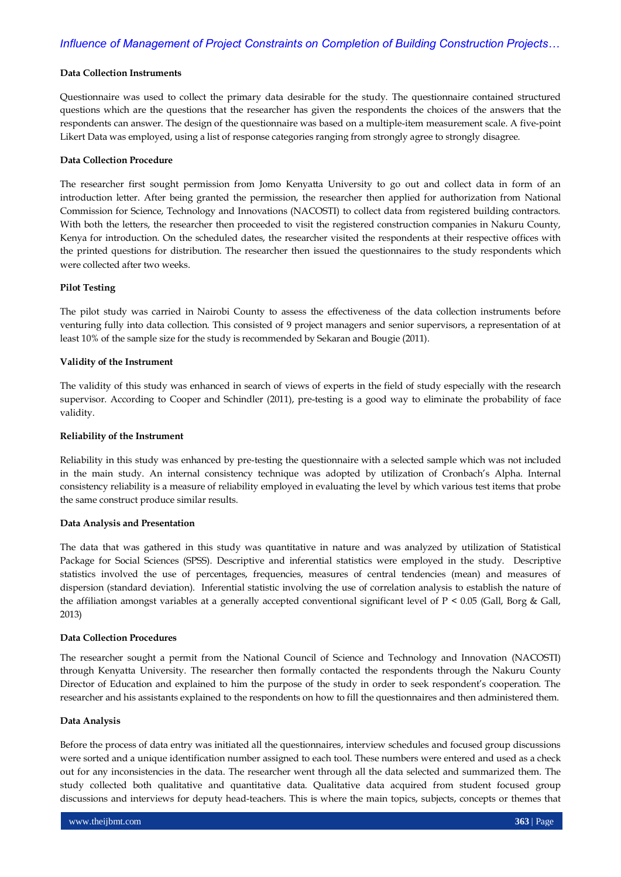#### **Data Collection Instruments**

Questionnaire was used to collect the primary data desirable for the study. The questionnaire contained structured questions which are the questions that the researcher has given the respondents the choices of the answers that the respondents can answer. The design of the questionnaire was based on a multiple-item measurement scale. A five-point Likert Data was employed, using a list of response categories ranging from strongly agree to strongly disagree.

#### **Data Collection Procedure**

The researcher first sought permission from Jomo Kenyatta University to go out and collect data in form of an introduction letter. After being granted the permission, the researcher then applied for authorization from National Commission for Science, Technology and Innovations (NACOSTI) to collect data from registered building contractors. With both the letters, the researcher then proceeded to visit the registered construction companies in Nakuru County, Kenya for introduction. On the scheduled dates, the researcher visited the respondents at their respective offices with the printed questions for distribution. The researcher then issued the questionnaires to the study respondents which were collected after two weeks.

#### **Pilot Testing**

The pilot study was carried in Nairobi County to assess the effectiveness of the data collection instruments before venturing fully into data collection. This consisted of 9 project managers and senior supervisors, a representation of at least 10% of the sample size for the study is recommended by Sekaran and Bougie (2011).

## **Validity of the Instrument**

The validity of this study was enhanced in search of views of experts in the field of study especially with the research supervisor. According to Cooper and Schindler (2011), pre-testing is a good way to eliminate the probability of face validity.

#### **Reliability of the Instrument**

Reliability in this study was enhanced by pre-testing the questionnaire with a selected sample which was not included in the main study. An internal consistency technique was adopted by utilization of Cronbach"s Alpha. Internal consistency reliability is a measure of reliability employed in evaluating the level by which various test items that probe the same construct produce similar results.

#### **Data Analysis and Presentation**

The data that was gathered in this study was quantitative in nature and was analyzed by utilization of Statistical Package for Social Sciences (SPSS). Descriptive and inferential statistics were employed in the study. Descriptive statistics involved the use of percentages, frequencies, measures of central tendencies (mean) and measures of dispersion (standard deviation). Inferential statistic involving the use of correlation analysis to establish the nature of the affiliation amongst variables at a generally accepted conventional significant level of P < 0.05 (Gall, Borg & Gall, 2013)

#### **Data Collection Procedures**

The researcher sought a permit from the National Council of Science and Technology and Innovation (NACOSTI) through Kenyatta University. The researcher then formally contacted the respondents through the Nakuru County Director of Education and explained to him the purpose of the study in order to seek respondent's cooperation. The researcher and his assistants explained to the respondents on how to fill the questionnaires and then administered them.

#### **Data Analysis**

Before the process of data entry was initiated all the questionnaires, interview schedules and focused group discussions were sorted and a unique identification number assigned to each tool. These numbers were entered and used as a check out for any inconsistencies in the data. The researcher went through all the data selected and summarized them. The study collected both qualitative and quantitative data. Qualitative data acquired from student focused group discussions and interviews for deputy head-teachers. This is where the main topics, subjects, concepts or themes that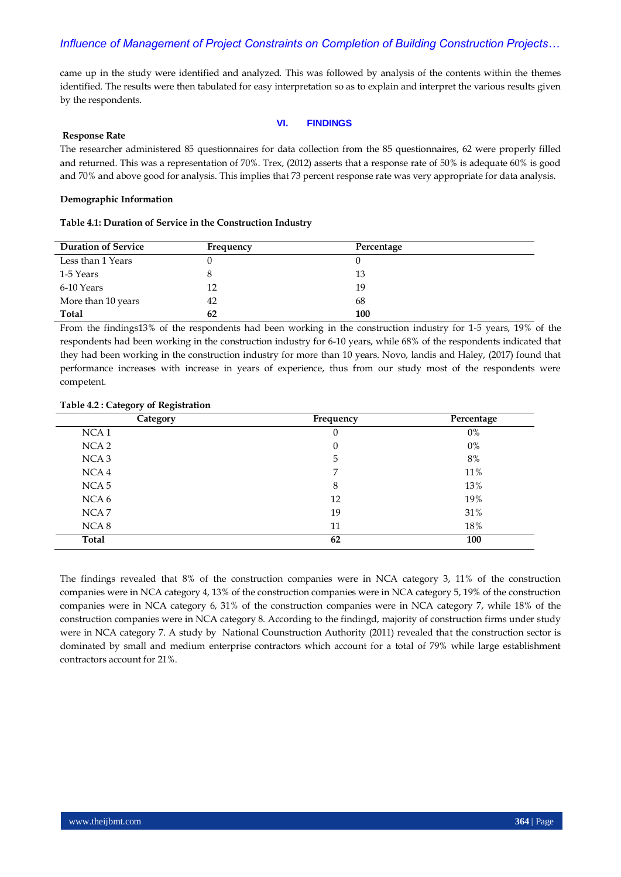came up in the study were identified and analyzed. This was followed by analysis of the contents within the themes identified. The results were then tabulated for easy interpretation so as to explain and interpret the various results given by the respondents.

#### **VI. FINDINGS**

#### **Response Rate**

The researcher administered 85 questionnaires for data collection from the 85 questionnaires, 62 were properly filled and returned. This was a representation of 70%. Trex, (2012) asserts that a response rate of 50% is adequate 60% is good and 70% and above good for analysis. This implies that 73 percent response rate was very appropriate for data analysis.

#### **Demographic Information**

# **Table 4.1: Duration of Service in the Construction Industry**

| <b>Duration of Service</b> | Frequency | Percentage |
|----------------------------|-----------|------------|
| Less than 1 Years          |           |            |
| 1-5 Years                  |           | 13         |
| 6-10 Years                 | 12        | 19         |
| More than 10 years         | 42        | 68         |
| Total                      | 62        | 100        |

From the findings13% of the respondents had been working in the construction industry for 1-5 years, 19% of the respondents had been working in the construction industry for 6-10 years, while 68% of the respondents indicated that they had been working in the construction industry for more than 10 years. Novo, landis and Haley, (2017) found that performance increases with increase in years of experience, thus from our study most of the respondents were competent.

#### **Table 4.2 : Category of Registration**

| Category         | Frequency | Percentage |
|------------------|-----------|------------|
| NCA <sub>1</sub> | 0         | $0\%$      |
| NCA <sub>2</sub> | $\theta$  | $0\%$      |
| NCA <sub>3</sub> | 5         | 8%         |
| NCA <sub>4</sub> | 7         | 11%        |
| NCA <sub>5</sub> | 8         | 13%        |
| NCA 6            | 12        | 19%        |
| NCA <sub>7</sub> | 19        | 31%        |
| NCA 8            | 11        | 18%        |
| Total            | 62        | 100        |

The findings revealed that 8% of the construction companies were in NCA category 3, 11% of the construction companies were in NCA category 4, 13% of the construction companies were in NCA category 5, 19% of the construction companies were in NCA category 6, 31% of the construction companies were in NCA category 7, while 18% of the construction companies were in NCA category 8. According to the findingd, majority of construction firms under study were in NCA category 7. A study by National Counstruction Authority (2011) revealed that the construction sector is dominated by small and medium enterprise contractors which account for a total of 79% while large establishment contractors account for 21%.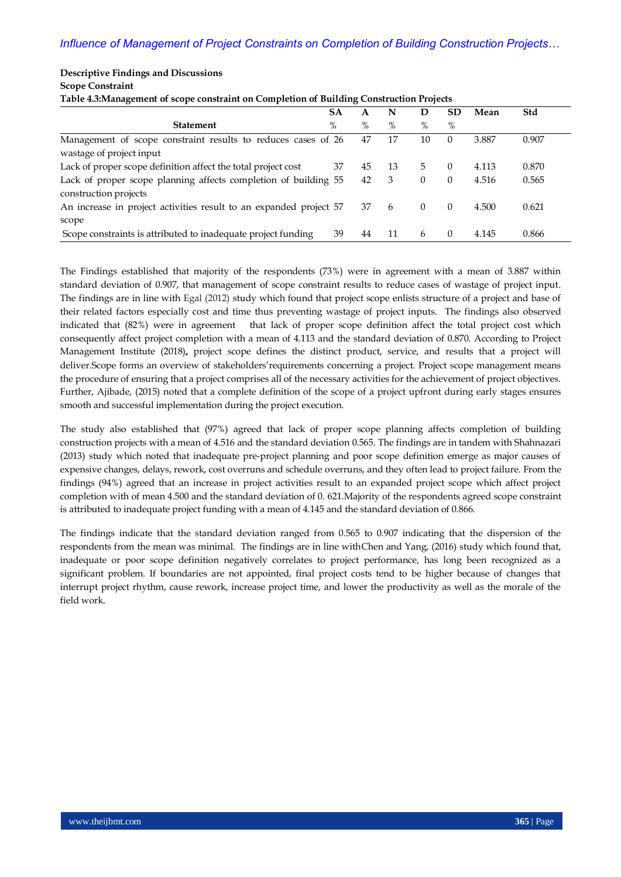| Table 4.3: Management of scope constraint on Completion of Building Construction Projects |      |    |    |          |                  |       |       |  |
|-------------------------------------------------------------------------------------------|------|----|----|----------|------------------|-------|-------|--|
|                                                                                           | SА   | A  | N  | D        | SD.              | Mean  | Std   |  |
| <b>Statement</b>                                                                          | $\%$ | %  | %  | %        | %                |       |       |  |
| Management of scope constraint results to reduces cases of 26                             |      | 47 | 17 | 10       | $\left( \right)$ | 3.887 | 0.907 |  |
| wastage of project input                                                                  |      |    |    |          |                  |       |       |  |
| Lack of proper scope definition affect the total project cost                             | 37   | 45 | 13 | 5.       | $\left( \right)$ | 4.113 | 0.870 |  |
| Lack of proper scope planning affects completion of building 55                           |      | 42 | 3  | $\Omega$ | $\left($         | 4.516 | 0.565 |  |
| construction projects                                                                     |      |    |    |          |                  |       |       |  |
| An increase in project activities result to an expanded project 57                        |      | 37 | 6  | $\Omega$ | $\Omega$         | 4.500 | 0.621 |  |
| scope                                                                                     |      |    |    |          |                  |       |       |  |
| Scope constraints is attributed to inadequate project funding                             | 39   | 44 | 11 | 6        | $\left($         | 4.145 | 0.866 |  |

**Scope Constraint**

**Descriptive Findings and Discussions**

The Findings established that majority of the respondents (73%) were in agreement with a mean of 3.887 within standard deviation of 0.907, that management of scope constraint results to reduce cases of wastage of project input. The findings are in line with Egal (2012) study which found that project scope enlists structure of a project and base of their related factors especially cost and time thus preventing wastage of project inputs. The findings also observed indicated that (82%) were in agreement that lack of proper scope definition affect the total project cost which consequently affect project completion with a mean of 4.113 and the standard deviation of 0.870. According to Project Management Institute (2018)**,** project scope defines the distinct product, service, and results that a project will deliver.Scope forms an overview of stakeholders"requirements concerning a project. Project scope management means the procedure of ensuring that a project comprises all of the necessary activities for the achievement of project objectives. Further, Ajibade, (2015) noted that a complete definition of the scope of a project upfront during early stages ensures smooth and successful implementation during the project execution.

The study also established that (97%) agreed that lack of proper scope planning affects completion of building construction projects with a mean of 4.516 and the standard deviation 0.565. The findings are in tandem with Shahnazari (2013) study which noted that inadequate pre-project planning and poor scope definition emerge as major causes of expensive changes, delays, rework, cost overruns and schedule overruns, and they often lead to project failure. From the findings (94%) agreed that an increase in project activities result to an expanded project scope which affect project completion with of mean 4.500 and the standard deviation of 0. 621.Majority of the respondents agreed scope constraint is attributed to inadequate project funding with a mean of 4.145 and the standard deviation of 0.866.

The findings indicate that the standard deviation ranged from 0.565 to 0.907 indicating that the dispersion of the respondents from the mean was minimal. The findings are in line withChen and Yang, (2016) study which found that, inadequate or poor scope definition negatively correlates to project performance, has long been recognized as a significant problem. If boundaries are not appointed, final project costs tend to be higher because of changes that interrupt project rhythm, cause rework, increase project time, and lower the productivity as well as the morale of the field work.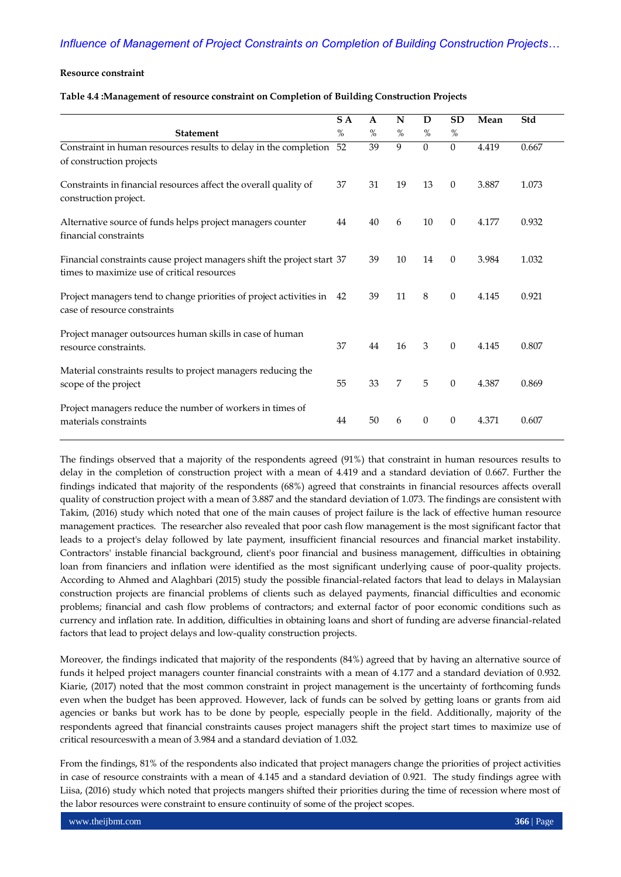## **Resource constraint**

#### **Table 4.4 :Management of resource constraint on Completion of Building Construction Projects**

|                                                                                                                        | S A  | A    | N  | D              | <b>SD</b>        | Mean  | Std   |
|------------------------------------------------------------------------------------------------------------------------|------|------|----|----------------|------------------|-------|-------|
| <b>Statement</b>                                                                                                       | $\%$ | $\%$ | %  | %              | %                |       |       |
| Constraint in human resources results to delay in the completion 52<br>of construction projects                        |      | 39   | 9  | $\overline{0}$ | $\overline{0}$   | 4.419 | 0.667 |
| Constraints in financial resources affect the overall quality of<br>construction project.                              | 37   | 31   | 19 | 13             | $\theta$         | 3.887 | 1.073 |
| Alternative source of funds helps project managers counter<br>financial constraints                                    | 44   | 40   | 6  | 10             | $\boldsymbol{0}$ | 4.177 | 0.932 |
| Financial constraints cause project managers shift the project start 37<br>times to maximize use of critical resources |      | 39   | 10 | 14             | $\overline{0}$   | 3.984 | 1.032 |
| Project managers tend to change priorities of project activities in 42<br>case of resource constraints                 |      | 39   | 11 | 8              | $\mathbf{0}$     | 4.145 | 0.921 |
| Project manager outsources human skills in case of human<br>resource constraints.                                      | 37   | 44   | 16 | 3              | $\theta$         | 4.145 | 0.807 |
| Material constraints results to project managers reducing the<br>scope of the project                                  | 55   | 33   | 7  | 5              | $\overline{0}$   | 4.387 | 0.869 |
| Project managers reduce the number of workers in times of<br>materials constraints                                     | 44   | 50   | 6  | $\mathbf{0}$   | $\overline{0}$   | 4.371 | 0.607 |

The findings observed that a majority of the respondents agreed (91%) that constraint in human resources results to delay in the completion of construction project with a mean of 4.419 and a standard deviation of 0.667. Further the findings indicated that majority of the respondents (68%) agreed that constraints in financial resources affects overall quality of construction project with a mean of 3.887 and the standard deviation of 1.073. The findings are consistent with Takim, (2016) study which noted that one of the main causes of project failure is the lack of effective human resource management practices. The researcher also revealed that poor cash flow management is the most significant factor that leads to a project's delay followed by late payment, insufficient financial resources and financial market instability. Contractors' instable financial background, client's poor financial and business management, difficulties in obtaining loan from financiers and inflation were identified as the most significant underlying cause of poor-quality projects. According to Ahmed and Alaghbari (2015) study the possible financial-related factors that lead to delays in Malaysian construction projects are financial problems of clients such as delayed payments, financial difficulties and economic problems; financial and cash flow problems of contractors; and external factor of poor economic conditions such as currency and inflation rate. In addition, difficulties in obtaining loans and short of funding are adverse financial-related factors that lead to project delays and low-quality construction projects.

Moreover, the findings indicated that majority of the respondents (84%) agreed that by having an alternative source of funds it helped project managers counter financial constraints with a mean of 4.177 and a standard deviation of 0.932. Kiarie, (2017) noted that the most common constraint in project management is the uncertainty of forthcoming funds even when the budget has been approved. However, lack of funds can be solved by getting loans or grants from aid agencies or banks but work has to be done by people, especially people in the field. Additionally, majority of the respondents agreed that financial constraints causes project managers shift the project start times to maximize use of critical resourceswith a mean of 3.984 and a standard deviation of 1.032.

From the findings, 81% of the respondents also indicated that project managers change the priorities of project activities in case of resource constraints with a mean of 4.145 and a standard deviation of 0.921. The study findings agree with Liisa, (2016) study which noted that projects mangers shifted their priorities during the time of recession where most of the labor resources were constraint to ensure continuity of some of the project scopes.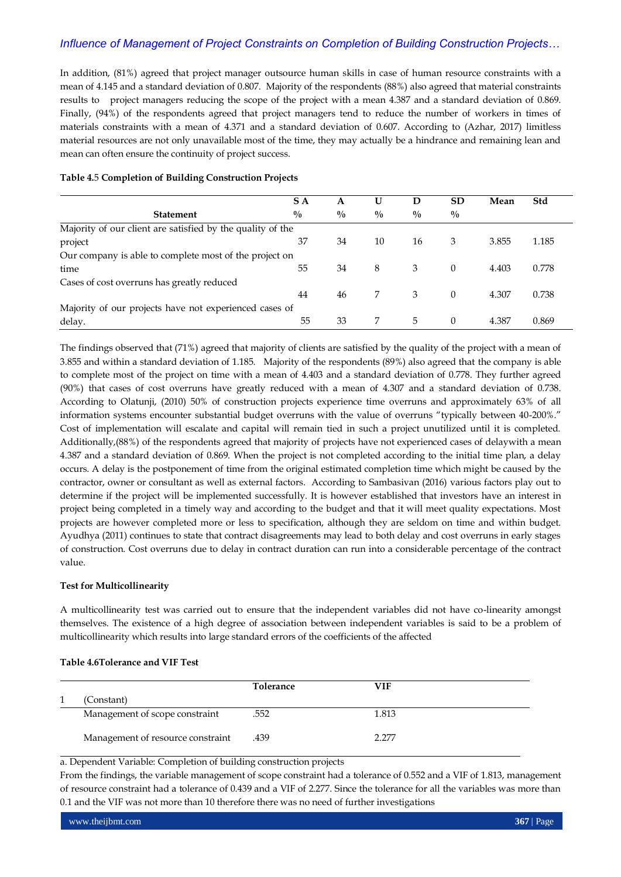In addition, (81%) agreed that project manager outsource human skills in case of human resource constraints with a mean of 4.145 and a standard deviation of 0.807. Majority of the respondents (88%) also agreed that material constraints results to project managers reducing the scope of the project with a mean 4.387 and a standard deviation of 0.869. Finally, (94%) of the respondents agreed that project managers tend to reduce the number of workers in times of materials constraints with a mean of 4.371 and a standard deviation of 0.607. According to (Azhar, 2017) limitless material resources are not only unavailable most of the time, they may actually be a hindrance and remaining lean and mean can often ensure the continuity of project success.

# **Table 4.**5 **Completion of Building Construction Projects**

|                                                            | S A         | A             | U             | D           | <b>SD</b>     | Mean  | Std   |
|------------------------------------------------------------|-------------|---------------|---------------|-------------|---------------|-------|-------|
| <b>Statement</b>                                           | $^{0}/_{0}$ | $\frac{0}{0}$ | $\frac{0}{0}$ | $^{0}/_{0}$ | $\frac{0}{0}$ |       |       |
| Majority of our client are satisfied by the quality of the |             |               |               |             |               |       |       |
| project                                                    | 37          | 34            | 10            | 16          | 3             | 3.855 | 1.185 |
| Our company is able to complete most of the project on     |             |               |               |             |               |       |       |
| time                                                       | 55          | 34            | 8             | 3           | $\Omega$      | 4.403 | 0.778 |
| Cases of cost overruns has greatly reduced                 |             |               |               |             |               |       |       |
|                                                            | 44          | 46            | 7             | 3           | $\Omega$      | 4.307 | 0.738 |
| Majority of our projects have not experienced cases of     |             |               |               |             |               |       |       |
| delay.                                                     | 55          | 33            | 7             | 5           | $\Omega$      | 4.387 | 0.869 |

The findings observed that (71%) agreed that majority of clients are satisfied by the quality of the project with a mean of 3.855 and within a standard deviation of 1.185. Majority of the respondents (89%) also agreed that the company is able to complete most of the project on time with a mean of 4.403 and a standard deviation of 0.778. They further agreed (90%) that cases of cost overruns have greatly reduced with a mean of 4.307 and a standard deviation of 0.738. According to Olatunji, (2010) 50% of construction projects experience time overruns and approximately 63% of all information systems encounter substantial budget overruns with the value of overruns "typically between 40-200%." Cost of implementation will escalate and capital will remain tied in such a project unutilized until it is completed. Additionally,(88%) of the respondents agreed that majority of projects have not experienced cases of delaywith a mean 4.387 and a standard deviation of 0.869. When the project is not completed according to the initial time plan, a delay occurs. A delay is the postponement of time from the original estimated completion time which might be caused by the contractor, owner or consultant as well as external factors. According to Sambasivan (2016) various factors play out to determine if the project will be implemented successfully. It is however established that investors have an interest in project being completed in a timely way and according to the budget and that it will meet quality expectations. Most projects are however completed more or less to specification, although they are seldom on time and within budget. Ayudhya (2011) continues to state that contract disagreements may lead to both delay and cost overruns in early stages of construction. Cost overruns due to delay in contract duration can run into a considerable percentage of the contract value.

#### **Test for Multicollinearity**

A multicollinearity test was carried out to ensure that the independent variables did not have co-linearity amongst themselves. The existence of a high degree of association between independent variables is said to be a problem of multicollinearity which results into large standard errors of the coefficients of the affected

# **Table 4.6Tolerance and VIF Test**

|                                   | <b>Tolerance</b> | VIF   |  |
|-----------------------------------|------------------|-------|--|
| (Constant)                        |                  |       |  |
| Management of scope constraint    | .552             | 1.813 |  |
| Management of resource constraint | .439             | 2.277 |  |

a. Dependent Variable: Completion of building construction projects

From the findings, the variable management of scope constraint had a tolerance of 0.552 and a VIF of 1.813, management of resource constraint had a tolerance of 0.439 and a VIF of 2.277. Since the tolerance for all the variables was more than 0.1 and the VIF was not more than 10 therefore there was no need of further investigations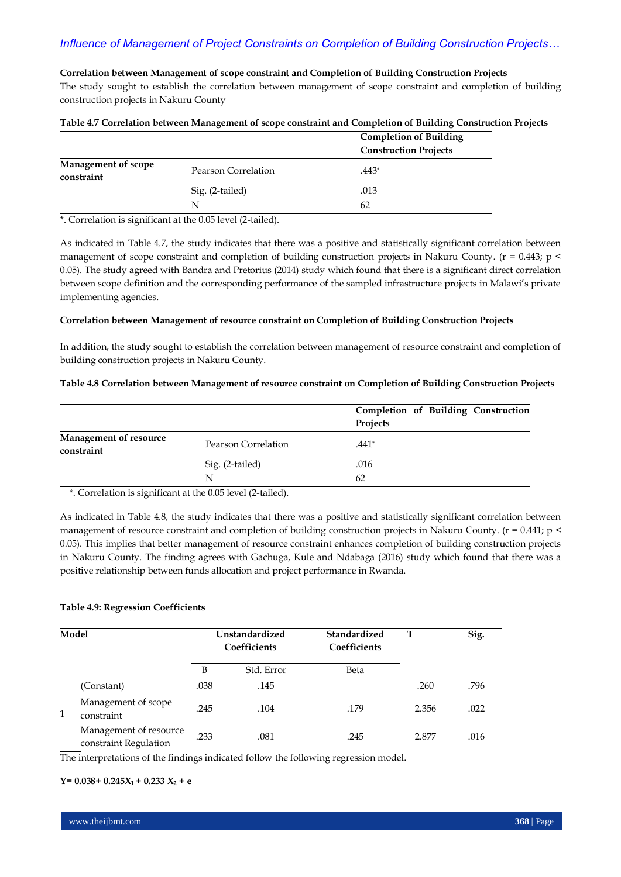## **Correlation between Management of scope constraint and Completion of Building Construction Projects**

The study sought to establish the correlation between management of scope constraint and completion of building construction projects in Nakuru County

|                                          |                     | <b>Completion of Building</b><br><b>Construction Projects</b> |
|------------------------------------------|---------------------|---------------------------------------------------------------|
| <b>Management of scope</b><br>constraint | Pearson Correlation | .443*                                                         |
|                                          | Sig. (2-tailed)     | .013                                                          |
|                                          | N                   | 62                                                            |

**Table 4.7 Correlation between Management of scope constraint and Completion of Building Construction Projects**

\*. Correlation is significant at the 0.05 level (2-tailed).

As indicated in Table 4.7, the study indicates that there was a positive and statistically significant correlation between management of scope constraint and completion of building construction projects in Nakuru County. ( $r = 0.443$ ;  $p <$ 0.05). The study agreed with Bandra and Pretorius (2014) study which found that there is a significant direct correlation between scope definition and the corresponding performance of the sampled infrastructure projects in Malawi's private implementing agencies.

## **Correlation between Management of resource constraint on Completion of Building Construction Projects**

In addition, the study sought to establish the correlation between management of resource constraint and completion of building construction projects in Nakuru County.

## **Table 4.8 Correlation between Management of resource constraint on Completion of Building Construction Projects**

|                                             |                     | Completion of Building Construction<br>Projects |
|---------------------------------------------|---------------------|-------------------------------------------------|
| <b>Management of resource</b><br>constraint | Pearson Correlation | .441*                                           |
|                                             | Sig. (2-tailed)     | .016                                            |
|                                             | N                   | 62                                              |

\*. Correlation is significant at the 0.05 level (2-tailed).

As indicated in Table 4.8, the study indicates that there was a positive and statistically significant correlation between management of resource constraint and completion of building construction projects in Nakuru County. ( $r = 0.441$ ; p < 0.05). This implies that better management of resource constraint enhances completion of building construction projects in Nakuru County. The finding agrees with Gachuga, Kule and Ndabaga (2016) study which found that there was a positive relationship between funds allocation and project performance in Rwanda.

# **Table 4.9: Regression Coefficients**

| Model |                                                 | Unstandardized<br>Coefficients |            | Standardized<br>Coefficients | т     | Sig. |
|-------|-------------------------------------------------|--------------------------------|------------|------------------------------|-------|------|
|       |                                                 | B                              | Std. Error | Beta                         |       |      |
|       | (Constant)                                      | .038                           | .145       |                              | .260  | .796 |
|       | Management of scope<br>constraint               | .245                           | .104       | .179                         | 2.356 | .022 |
|       | Management of resource<br>constraint Regulation | .233                           | .081       | .245                         | 2.877 | .016 |

The interpretations of the findings indicated follow the following regression model.

## $Y= 0.038 + 0.245X_1 + 0.233X_2 + e$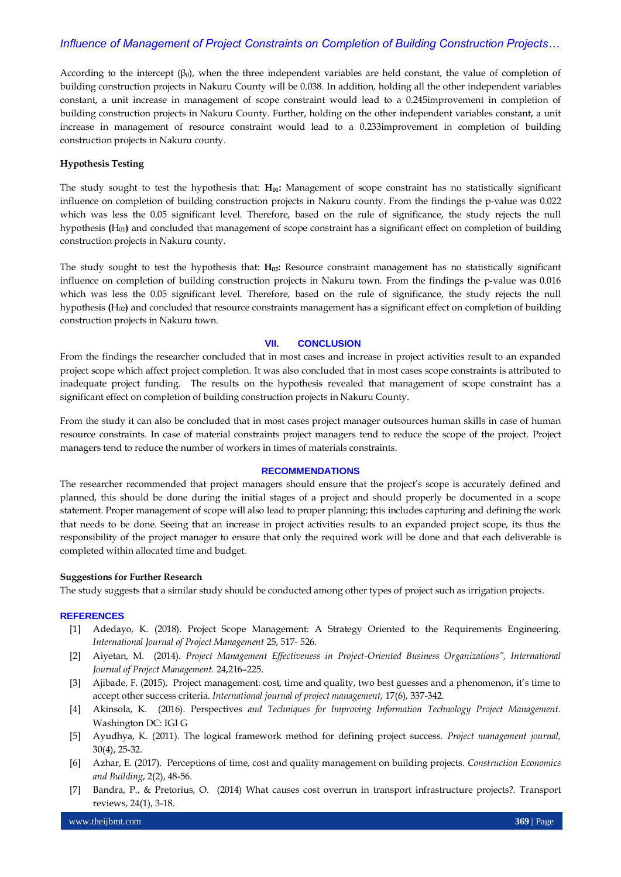According to the intercept  $(\beta_0)$ , when the three independent variables are held constant, the value of completion of building construction projects in Nakuru County will be 0.038. In addition, holding all the other independent variables constant, a unit increase in management of scope constraint would lead to a 0.245improvement in completion of building construction projects in Nakuru County. Further, holding on the other independent variables constant, a unit increase in management of resource constraint would lead to a 0.233improvement in completion of building construction projects in Nakuru county.

## **Hypothesis Testing**

The study sought to test the hypothesis that: H<sub>01</sub>: Management of scope constraint has no statistically significant influence on completion of building construction projects in Nakuru county. From the findings the p-value was 0.022 which was less the 0.05 significant level. Therefore, based on the rule of significance, the study rejects the null hypothesis  $(H_{01})$  and concluded that management of scope constraint has a significant effect on completion of building construction projects in Nakuru county.

The study sought to test the hypothesis that: H<sub>02</sub>: Resource constraint management has no statistically significant influence on completion of building construction projects in Nakuru town. From the findings the p-value was 0.016 which was less the 0.05 significant level. Therefore, based on the rule of significance, the study rejects the null hypothesis  $(H_{02})$  and concluded that resource constraints management has a significant effect on completion of building construction projects in Nakuru town.

# **VII. CONCLUSION**

From the findings the researcher concluded that in most cases and increase in project activities result to an expanded project scope which affect project completion. It was also concluded that in most cases scope constraints is attributed to inadequate project funding. The results on the hypothesis revealed that management of scope constraint has a significant effect on completion of building construction projects in Nakuru County.

From the study it can also be concluded that in most cases project manager outsources human skills in case of human resource constraints. In case of material constraints project managers tend to reduce the scope of the project. Project managers tend to reduce the number of workers in times of materials constraints.

#### **RECOMMENDATIONS**

The researcher recommended that project managers should ensure that the project's scope is accurately defined and planned, this should be done during the initial stages of a project and should properly be documented in a scope statement. Proper management of scope will also lead to proper planning; this includes capturing and defining the work that needs to be done. Seeing that an increase in project activities results to an expanded project scope, its thus the responsibility of the project manager to ensure that only the required work will be done and that each deliverable is completed within allocated time and budget.

#### **Suggestions for Further Research**

The study suggests that a similar study should be conducted among other types of project such as irrigation projects.

#### **REFERENCES**

- [1] Adedayo, K. (2018). Project Scope Management: A Strategy Oriented to the Requirements Engineering. *International Journal of Project Management* 25, 517- 526.
- [2] Aiyetan, M. (2014). *Project Management Effectiveness in Project-Oriented Business Organizations", International Journal of Project Management.* 24,216–225.
- [3] Ajibade, F. (2015). Project management: cost, time and quality, two best guesses and a phenomenon, it's time to accept other success criteria. *International journal of project management*, 17(6), 337-342.
- [4] Akinsola, K. (2016). Perspectives *and Techniques for Improving Information Technology Project Management*. Washington DC: IGI G
- [5] Ayudhya, K. (2011). The logical framework method for defining project success. *Project management journal,* 30(4), 25-32.
- [6] Azhar, E. (2017). Perceptions of time, cost and quality management on building projects. *Construction Economics and Building*, 2(2), 48-56.
- [7] Bandra, P., & Pretorius, O. (2014) What causes cost overrun in transport infrastructure projects?. Transport reviews, 24(1), 3-18.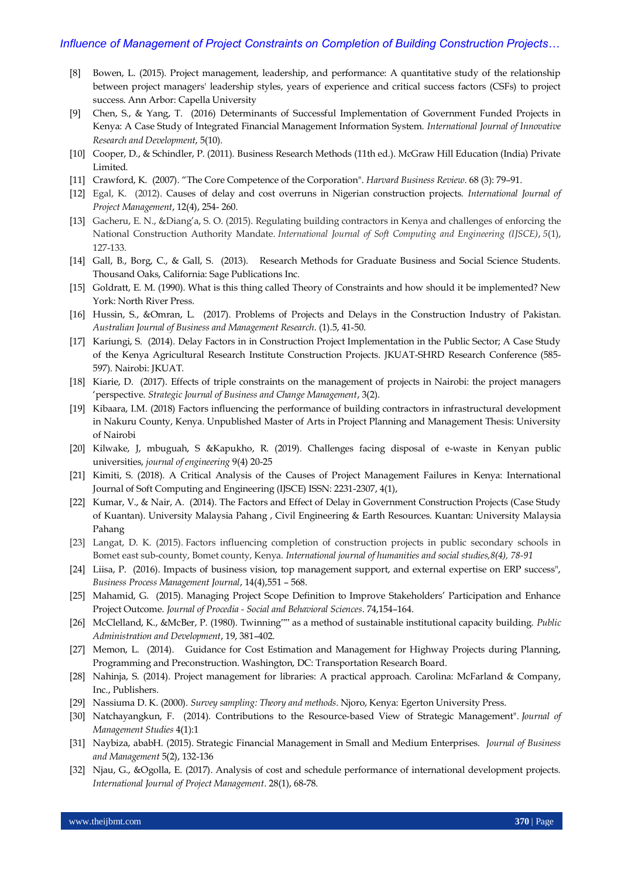- [8] Bowen, L. (2015). Project management, leadership, and performance: A quantitative study of the relationship between project managers' leadership styles, years of experience and critical success factors (CSFs) to project success. Ann Arbor: Capella University
- [9] Chen, S., & Yang, T. (2016) Determinants of Successful Implementation of Government Funded Projects in Kenya: A Case Study of Integrated Financial Management Information System. *International Journal of Innovative Research and Development*, 5(10).
- [10] Cooper, D., & Schindler, P. (2011). Business Research Methods (11th ed.). McGraw Hill Education (India) Private Limited.
- [11] Crawford, K. (2007). "The Core Competence of the Corporation". *Harvard Business Review*. 68 (3): 79–91.
- [12] Egal, K. (2012). Causes of delay and cost overruns in Nigerian construction projects. *International Journal of Project Management*, 12(4), 254- 260.
- [13] Gacheru, E. N., &Diang"a, S. O. (2015). Regulating building contractors in Kenya and challenges of enforcing the National Construction Authority Mandate. *International Journal of Soft Computing and Engineering (IJSCE)*, *5*(1), 127-133.
- [14] Gall, B., Borg, C., & Gall, S. (2013). Research Methods for Graduate Business and Social Science Students. Thousand Oaks, California: Sage Publications Inc.
- [15] Goldratt, E. M. (1990). What is this thing called Theory of Constraints and how should it be implemented? New York: North River Press.
- [16] Hussin, S., &Omran, L. (2017). Problems of Projects and Delays in the Construction Industry of Pakistan. *Australian Journal of Business and Management Research*. (1).5, 41-50.
- [17] Kariungi, S. (2014). Delay Factors in in Construction Project Implementation in the Public Sector; A Case Study of the Kenya Agricultural Research Institute Construction Projects. JKUAT-SHRD Research Conference (585- 597). Nairobi: JKUAT.
- [18] Kiarie, D. (2017). Effects of triple constraints on the management of projects in Nairobi: the project managers "perspective. *Strategic Journal of Business and Change Management*, 3(2).
- [19] Kibaara, I.M. (2018) Factors influencing the performance of building contractors in infrastructural development in Nakuru County, Kenya. Unpublished Master of Arts in Project Planning and Management Thesis: University of Nairobi
- [20] Kilwake, J, mbuguah, S &Kapukho, R. (2019). Challenges facing disposal of e-waste in Kenyan public universities, *journal of engineering* 9(4) 20-25
- [21] Kimiti, S. (2018). A Critical Analysis of the Causes of Project Management Failures in Kenya: International Journal of Soft Computing and Engineering (IJSCE) ISSN: 2231-2307, 4(1),
- [22] Kumar, V., & Nair, A. (2014). The Factors and Effect of Delay in Government Construction Projects (Case Study of Kuantan). University Malaysia Pahang , Civil Engineering & Earth Resources. Kuantan: University Malaysia Pahang
- [23] Langat, D. K. (2015). Factors influencing completion of construction projects in public secondary schools in Bomet east sub-county, Bomet county, Kenya. *International journal of humanities and social studies,8(4), 78-91*
- [24] Liisa, P. (2016). Impacts of business vision, top management support, and external expertise on ERP success", *Business Process Management Journal*, 14(4),551 – 568.
- [25] Mahamid, G. (2015). Managing Project Scope Definition to Improve Stakeholders" Participation and Enhance Project Outcome. *Journal of Procedia - Social and Behavioral Sciences*. 74,154–164.
- [26] McClelland, K., &McBer, P. (1980). Twinning"" as a method of sustainable institutional capacity building. *Public Administration and Development*, 19, 381–402.
- [27] Memon, L. (2014). Guidance for Cost Estimation and Management for Highway Projects during Planning, Programming and Preconstruction. Washington, DC: Transportation Research Board.
- [28] Nahinja, S. (2014). Project management for libraries: A practical approach. Carolina: McFarland & Company, Inc., Publishers.
- [29] Nassiuma D. K. (2000). *Survey sampling: Theory and methods*. Njoro, Kenya: Egerton University Press.
- [30] Natchayangkun, F. (2014). Contributions to the Resource-based View of Strategic Management". *Journal of Management Studies* 4(1):1
- [31] Naybiza, ababH. (2015). Strategic Financial Management in Small and Medium Enterprises. *Journal of Business and Management* 5(2), 132-136
- [32] Njau, G., &Ogolla, E. (2017). Analysis of cost and schedule performance of international development projects. *International Journal of Project Management*. 28(1), 68-78.